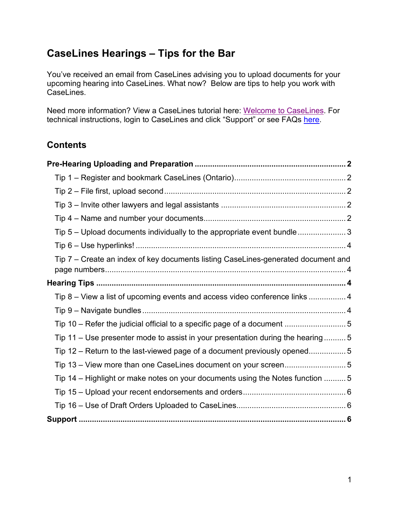# **CaseLines Hearings – Tips for the Bar**

You've received an email from CaseLines advising you to upload documents for your upcoming hearing into CaseLines. What now? Below are tips to help you work with CaseLines.

Need more information? View a CaseLines tutorial here: Welcome to [CaseLines.](https://share.vidyard.com/watch/b1YdY2PTyvAGvEHGHK19CN) For technical instructions, login to CaseLines and click "Support" or see FAQs [here.](https://www.ontariocourts.ca/scj/notices-and-orders-covid-19/supplementary-notice-september-2-2020/faq-caselines/)

## **Contents**

| Tip 5 – Upload documents individually to the appropriate event bundle3            |
|-----------------------------------------------------------------------------------|
|                                                                                   |
| Tip 7 – Create an index of key documents listing CaseLines-generated document and |
|                                                                                   |
| Tip 8 – View a list of upcoming events and access video conference links  4       |
|                                                                                   |
|                                                                                   |
| Tip 11 – Use presenter mode to assist in your presentation during the hearing5    |
| Tip 12 – Return to the last-viewed page of a document previously opened5          |
| Tip 13 - View more than one CaseLines document on your screen5                    |
| Tip 14 – Highlight or make notes on your documents using the Notes function  5    |
|                                                                                   |
|                                                                                   |
|                                                                                   |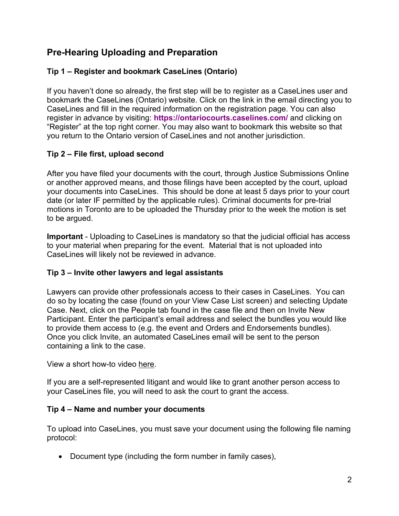## <span id="page-1-0"></span>**Pre-Hearing Uploading and Preparation**

## <span id="page-1-1"></span>**Tip 1 – Register and bookmark CaseLines (Ontario)**

If you haven't done so already, the first step will be to register as a CaseLines user and bookmark the CaseLines (Ontario) website. Click on the link in the email directing you to CaseLines and fill in the required information on the registration page. You can also register in advance by visiting: **<https://ontariocourts.caselines.com/>** and clicking on "Register" at the top right corner. You may also want to bookmark this website so that you return to the Ontario version of CaseLines and not another jurisdiction.

## <span id="page-1-2"></span>**Tip 2 – File first, upload second**

After you have filed your documents with the court, through Justice Submissions Online or another approved means, and those filings have been accepted by the court, upload your documents into CaseLines. This should be done at least 5 days prior to your court date (or later IF permitted by the applicable rules). Criminal documents for pre-trial motions in Toronto are to be uploaded the Thursday prior to the week the motion is set to be argued.

**Important** - Uploading to CaseLines is mandatory so that the judicial official has access to your material when preparing for the event. Material that is not uploaded into CaseLines will likely not be reviewed in advance.

## <span id="page-1-3"></span>**Tip 3 – Invite other lawyers and legal assistants**

Lawyers can provide other professionals access to their cases in CaseLines. You can do so by locating the case (found on your View Case List screen) and selecting Update Case. Next, click on the People tab found in the case file and then on Invite New Participant. Enter the participant's email address and select the bundles you would like to provide them access to (e.g. the event and Orders and Endorsements bundles). Once you click Invite, an automated CaseLines email will be sent to the person containing a link to the case.

View a short how-to video [here.](https://share.vidyard.com/watch/6jW5MAKq6cTeTfhyR7i3Fy?)

If you are a self-represented litigant and would like to grant another person access to your CaseLines file, you will need to ask the court to grant the access.

#### <span id="page-1-4"></span>**Tip 4 – Name and number your documents**

To upload into CaseLines, you must save your document using the following file naming protocol:

• Document type (including the form number in family cases),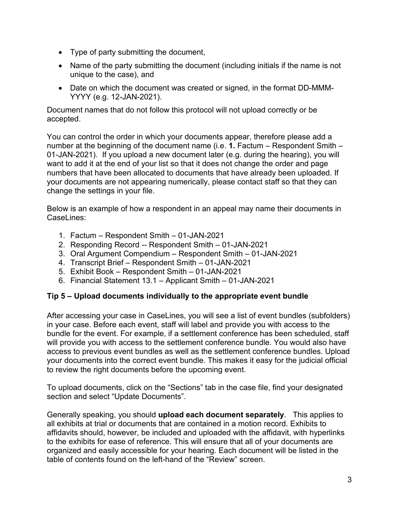- Type of party submitting the document,
- Name of the party submitting the document (including initials if the name is not unique to the case), and
- Date on which the document was created or signed, in the format DD-MMM-YYYY (e.g. 12-JAN-2021).

Document names that do not follow this protocol will not upload correctly or be accepted.

You can control the order in which your documents appear, therefore please add a number at the beginning of the document name (i.e. **1.** Factum – Respondent Smith – 01-JAN-2021). If you upload a new document later (e.g. during the hearing), you will want to add it at the end of your list so that it does not change the order and page numbers that have been allocated to documents that have already been uploaded. If your documents are not appearing numerically, please contact staff so that they can change the settings in your file.

Below is an example of how a respondent in an appeal may name their documents in CaseLines:

- 1. Factum Respondent Smith 01-JAN-2021
- 2. Responding Record -- Respondent Smith 01-JAN-2021
- 3. Oral Argument Compendium Respondent Smith 01-JAN-2021
- 4. Transcript Brief Respondent Smith 01-JAN-2021
- 5. Exhibit Book Respondent Smith 01-JAN-2021
- 6. Financial Statement 13.1 Applicant Smith 01-JAN-2021

#### <span id="page-2-0"></span>**Tip 5 – Upload documents individually to the appropriate event bundle**

After accessing your case in CaseLines, you will see a list of event bundles (subfolders) in your case. Before each event, staff will label and provide you with access to the bundle for the event. For example, if a settlement conference has been scheduled, staff will provide you with access to the settlement conference bundle. You would also have access to previous event bundles as well as the settlement conference bundles. Upload your documents into the correct event bundle. This makes it easy for the judicial official to review the right documents before the upcoming event.

To upload documents, click on the "Sections" tab in the case file, find your designated section and select "Update Documents".

Generally speaking, you should **upload each document separately**. This applies to all exhibits at trial or documents that are contained in a motion record. Exhibits to affidavits should, however, be included and uploaded with the affidavit, with hyperlinks to the exhibits for ease of reference. This will ensure that all of your documents are organized and easily accessible for your hearing. Each document will be listed in the table of contents found on the left-hand of the "Review" screen.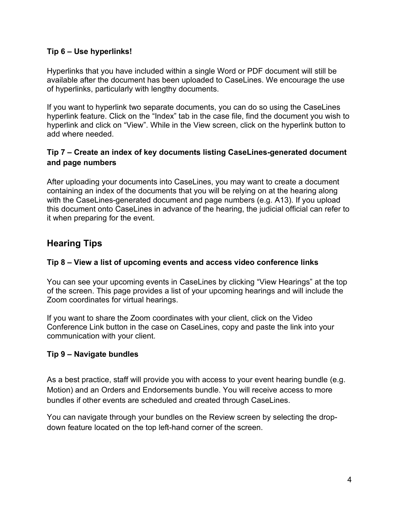#### <span id="page-3-0"></span>**Tip 6 – Use hyperlinks!**

Hyperlinks that you have included within a single Word or PDF document will still be available after the document has been uploaded to CaseLines. We encourage the use of hyperlinks, particularly with lengthy documents.

If you want to hyperlink two separate documents, you can do so using the CaseLines hyperlink feature. Click on the "Index" tab in the case file, find the document you wish to hyperlink and click on "View". While in the View screen, click on the hyperlink button to add where needed.

#### <span id="page-3-1"></span>**Tip 7 – Create an index of key documents listing CaseLines-generated document and page numbers**

After uploading your documents into CaseLines, you may want to create a document containing an index of the documents that you will be relying on at the hearing along with the CaseLines-generated document and page numbers (e.g. A13). If you upload this document onto CaseLines in advance of the hearing, the judicial official can refer to it when preparing for the event.

## <span id="page-3-2"></span>**Hearing Tips**

### <span id="page-3-3"></span>**Tip 8 – View a list of upcoming events and access video conference links**

You can see your upcoming events in CaseLines by clicking "View Hearings" at the top of the screen. This page provides a list of your upcoming hearings and will include the Zoom coordinates for virtual hearings.

If you want to share the Zoom coordinates with your client, click on the Video Conference Link button in the case on CaseLines, copy and paste the link into your communication with your client.

## <span id="page-3-4"></span>**Tip 9 – Navigate bundles**

As a best practice, staff will provide you with access to your event hearing bundle (e.g. Motion) and an Orders and Endorsements bundle. You will receive access to more bundles if other events are scheduled and created through CaseLines.

You can navigate through your bundles on the Review screen by selecting the dropdown feature located on the top left-hand corner of the screen.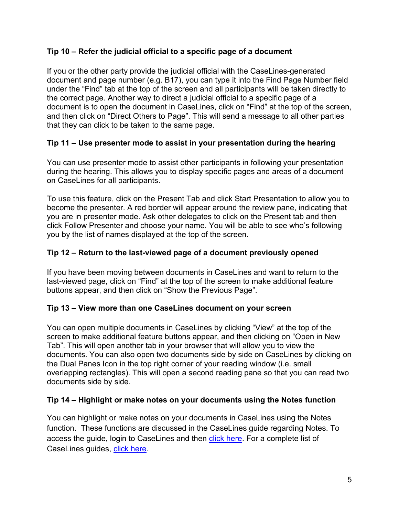### <span id="page-4-0"></span>**Tip 10 – Refer the judicial official to a specific page of a document**

If you or the other party provide the judicial official with the CaseLines-generated document and page number (e.g. B17), you can type it into the Find Page Number field under the "Find" tab at the top of the screen and all participants will be taken directly to the correct page. Another way to direct a judicial official to a specific page of a document is to open the document in CaseLines, click on "Find" at the top of the screen, and then click on "Direct Others to Page". This will send a message to all other parties that they can click to be taken to the same page.

#### <span id="page-4-1"></span>**Tip 11 – Use presenter mode to assist in your presentation during the hearing**

You can use presenter mode to assist other participants in following your presentation during the hearing. This allows you to display specific pages and areas of a document on CaseLines for all participants.

To use this feature, click on the Present Tab and click Start Presentation to allow you to become the presenter. A red border will appear around the review pane, indicating that you are in presenter mode. Ask other delegates to click on the Present tab and then click Follow Presenter and choose your name. You will be able to see who's following you by the list of names displayed at the top of the screen.

#### <span id="page-4-2"></span>**Tip 12 – Return to the last-viewed page of a document previously opened**

If you have been moving between documents in CaseLines and want to return to the last-viewed page, click on "Find" at the top of the screen to make additional feature buttons appear, and then click on "Show the Previous Page".

#### <span id="page-4-3"></span>**Tip 13 – View more than one CaseLines document on your screen**

You can open multiple documents in CaseLines by clicking "View" at the top of the screen to make additional feature buttons appear, and then clicking on "Open in New Tab". This will open another tab in your browser that will allow you to view the documents. You can also open two documents side by side on CaseLines by clicking on the Dual Panes Icon in the top right corner of your reading window (i.e. small overlapping rectangles). This will open a second reading pane so that you can read two documents side by side.

#### <span id="page-4-4"></span>**Tip 14 – Highlight or make notes on your documents using the Notes function**

You can highlight or make notes on your documents in CaseLines using the Notes function. These functions are discussed in the CaseLines guide regarding Notes. To access the guide, login to CaseLines and then [click here.](https://caselines.freshservice.com/support/solutions/articles/2000024313-15-notes) For a complete list of CaseLines quides, [click here.](https://caselines.freshservice.com/support/solutions/folders/2000062769)